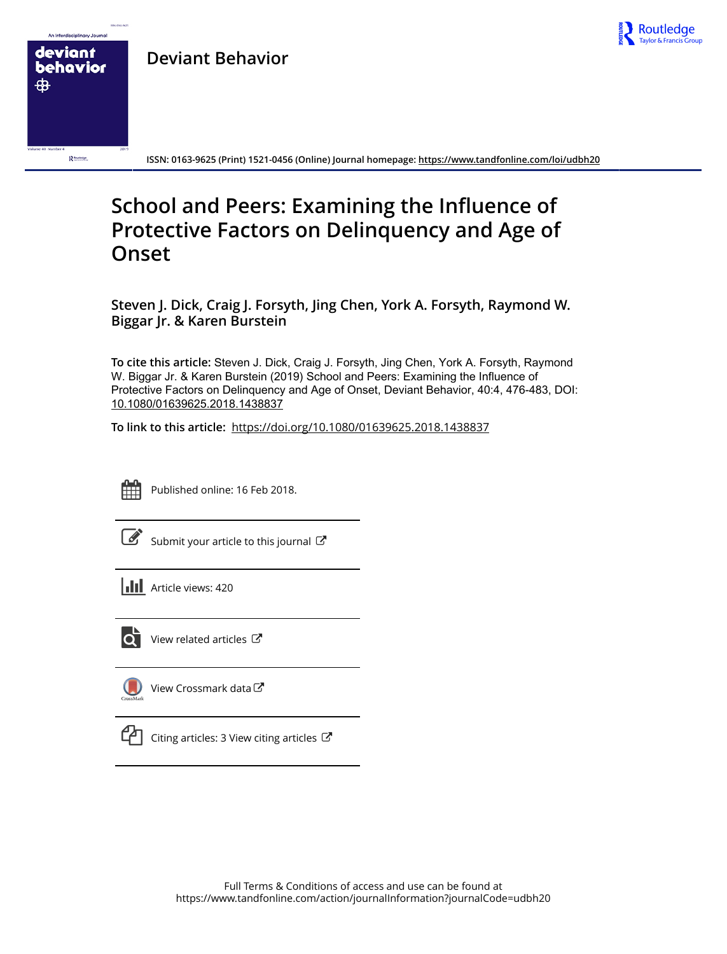

**Deviant Behavior**

 $R_{\text{model}}$ 

deviant behavior

₩6

**ISSN: 0163-9625 (Print) 1521-0456 (Online) Journal homepage:<https://www.tandfonline.com/loi/udbh20>**

# **School and Peers: Examining the Influence of Protective Factors on Delinquency and Age of Onset**

**Steven J. Dick, Craig J. Forsyth, Jing Chen, York A. Forsyth, Raymond W. Biggar Jr. & Karen Burstein**

**To cite this article:** Steven J. Dick, Craig J. Forsyth, Jing Chen, York A. Forsyth, Raymond W. Biggar Jr. & Karen Burstein (2019) School and Peers: Examining the Influence of Protective Factors on Delinquency and Age of Onset, Deviant Behavior, 40:4, 476-483, DOI: [10.1080/01639625.2018.1438837](https://www.tandfonline.com/action/showCitFormats?doi=10.1080/01639625.2018.1438837)

**To link to this article:** <https://doi.org/10.1080/01639625.2018.1438837>

Published online: 16 Feb 2018.

[Submit your article to this journal](https://www.tandfonline.com/action/authorSubmission?journalCode=udbh20&show=instructions)  $\mathbb{Z}$ 

**Article views: 420** 



[View related articles](https://www.tandfonline.com/doi/mlt/10.1080/01639625.2018.1438837)  $\mathbb{Z}$ 



[View Crossmark data](http://crossmark.crossref.org/dialog/?doi=10.1080/01639625.2018.1438837&domain=pdf&date_stamp=2018-02-16)<sup>C</sup>



 $\mathbb{C}$  [Citing articles: 3 View citing articles](https://www.tandfonline.com/doi/citedby/10.1080/01639625.2018.1438837#tabModule)  $\mathbb{C}$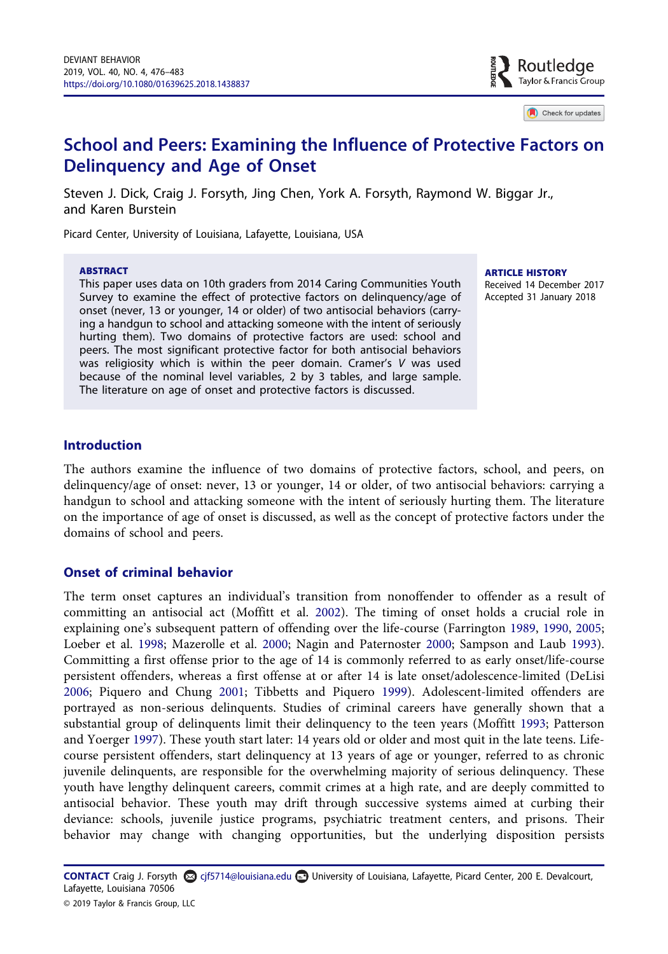

Check for updates

# School and Peers: Examining the Influence of Protective Factors on Delinquency and Age of Onset

Steven J. Dick, Craig J. Forsyth, Jing Chen, York A. Forsyth, Raymond W. Biggar Jr., and Karen Burstein

Picard Center, University of Louisiana, Lafayette, Louisiana, USA

#### ABSTRACT

This paper uses data on 10th graders from 2014 Caring Communities Youth Survey to examine the effect of protective factors on delinquency/age of onset (never, 13 or younger, 14 or older) of two antisocial behaviors (carrying a handgun to school and attacking someone with the intent of seriously hurting them). Two domains of protective factors are used: school and peers. The most significant protective factor for both antisocial behaviors was religiosity which is within the peer domain. Cramer's V was used because of the nominal level variables, 2 by 3 tables, and large sample. The literature on age of onset and protective factors is discussed.

ARTICLE HISTORY

Received 14 December 2017 Accepted 31 January 2018

# Introduction

The authors examine the influence of two domains of protective factors, school, and peers, on delinquency/age of onset: never, 13 or younger, 14 or older, of two antisocial behaviors: carrying a handgun to school and attacking someone with the intent of seriously hurting them. The literature on the importance of age of onset is discussed, as well as the concept of protective factors under the domains of school and peers.

## Onset of criminal behavior

<span id="page-1-6"></span><span id="page-1-5"></span><span id="page-1-4"></span><span id="page-1-3"></span><span id="page-1-2"></span><span id="page-1-1"></span><span id="page-1-0"></span>The term onset captures an individual's transition from nonoffender to offender as a result of committing an antisocial act (Moffitt et al. [2002](#page-8-0)). The timing of onset holds a crucial role in explaining one's subsequent pattern of offending over the life-course (Farrington [1989](#page-7-0), [1990,](#page-7-1) [2005;](#page-7-2) Loeber et al. [1998](#page-7-3); Mazerolle et al. [2000](#page-8-1); Nagin and Paternoster [2000;](#page-8-2) Sampson and Laub [1993](#page-8-3)). Committing a first offense prior to the age of 14 is commonly referred to as early onset/life-course persistent offenders, whereas a first offense at or after 14 is late onset/adolescence-limited (DeLisi [2006](#page-7-4); Piquero and Chung [2001](#page-8-4); Tibbetts and Piquero [1999](#page-8-5)). Adolescent-limited offenders are portrayed as non-serious delinquents. Studies of criminal careers have generally shown that a substantial group of delinquents limit their delinquency to the teen years (Moffitt [1993;](#page-8-6) Patterson and Yoerger [1997\)](#page-8-7). These youth start later: 14 years old or older and most quit in the late teens. Lifecourse persistent offenders, start delinquency at 13 years of age or younger, referred to as chronic juvenile delinquents, are responsible for the overwhelming majority of serious delinquency. These youth have lengthy delinquent careers, commit crimes at a high rate, and are deeply committed to antisocial behavior. These youth may drift through successive systems aimed at curbing their deviance: schools, juvenile justice programs, psychiatric treatment centers, and prisons. Their behavior may change with changing opportunities, but the underlying disposition persists

CONTACT Craig J. Forsyth cjf5714@louisiana.edu University of Louisiana, Lafayette, Picard Center, 200 E. Devalcourt, Lafayette, Louisiana 70506 © 2019 Taylor & Francis Group, LLC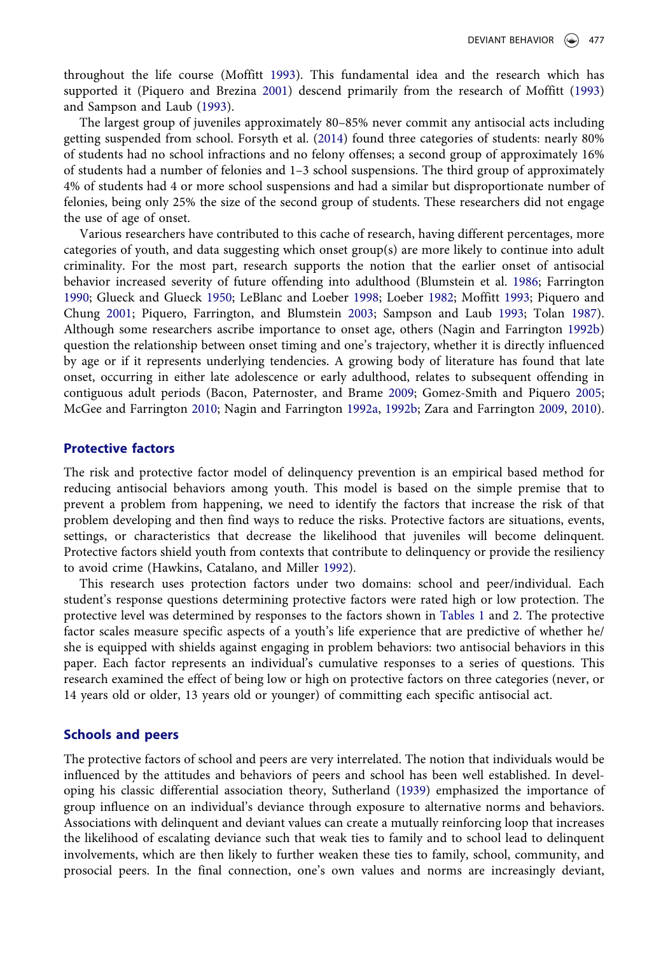<span id="page-2-6"></span>throughout the life course (Moffitt [1993](#page-8-6)). This fundamental idea and the research which has supported it (Piquero and Brezina [2001](#page-8-8)) descend primarily from the research of Moffitt [\(1993\)](#page-8-6) and Sampson and Laub ([1993](#page-8-3)).

<span id="page-2-2"></span>The largest group of juveniles approximately 80–85% never commit any antisocial acts including getting suspended from school. Forsyth et al. ([2014](#page-7-5)) found three categories of students: nearly 80% of students had no school infractions and no felony offenses; a second group of approximately 16% of students had a number of felonies and 1–3 school suspensions. The third group of approximately 4% of students had 4 or more school suspensions and had a similar but disproportionate number of felonies, being only 25% the size of the second group of students. These researchers did not engage the use of age of onset.

<span id="page-2-7"></span><span id="page-2-3"></span><span id="page-2-1"></span>Various researchers have contributed to this cache of research, having different percentages, more categories of youth, and data suggesting which onset group(s) are more likely to continue into adult criminality. For the most part, research supports the notion that the earlier onset of antisocial behavior increased severity of future offending into adulthood (Blumstein et al. [1986](#page-7-6); Farrington [1990](#page-7-1); Glueck and Glueck [1950](#page-7-7); LeBlanc and Loeber [1998;](#page-7-8) Loeber [1982](#page-7-9); Moffitt [1993;](#page-8-6) Piquero and Chung [2001;](#page-8-4) Piquero, Farrington, and Blumstein [2003;](#page-8-9) Sampson and Laub [1993](#page-8-3); Tolan [1987](#page-8-10)). Although some researchers ascribe importance to onset age, others (Nagin and Farrington [1992b\)](#page-8-11) question the relationship between onset timing and one's trajectory, whether it is directly influenced by age or if it represents underlying tendencies. A growing body of literature has found that late onset, occurring in either late adolescence or early adulthood, relates to subsequent offending in contiguous adult periods (Bacon, Paternoster, and Brame [2009](#page-7-10); Gomez-Smith and Piquero [2005;](#page-7-11) McGee and Farrington [2010;](#page-8-12) Nagin and Farrington [1992a](#page-8-13), [1992b;](#page-8-11) Zara and Farrington [2009,](#page-8-14) [2010](#page-8-15)).

# <span id="page-2-5"></span><span id="page-2-0"></span>Protective factors

The risk and protective factor model of delinquency prevention is an empirical based method for reducing antisocial behaviors among youth. This model is based on the simple premise that to prevent a problem from happening, we need to identify the factors that increase the risk of that problem developing and then find ways to reduce the risks. Protective factors are situations, events, settings, or characteristics that decrease the likelihood that juveniles will become delinquent. Protective factors shield youth from contexts that contribute to delinquency or provide the resiliency to avoid crime (Hawkins, Catalano, and Miller [1992](#page-7-12)).

<span id="page-2-4"></span>This research uses protection factors under two domains: school and peer/individual. Each student's response questions determining protective factors were rated high or low protection. The protective level was determined by responses to the factors shown in [Tables 1](#page-3-0) and [2.](#page-3-1) The protective factor scales measure specific aspects of a youth's life experience that are predictive of whether he/ she is equipped with shields against engaging in problem behaviors: two antisocial behaviors in this paper. Each factor represents an individual's cumulative responses to a series of questions. This research examined the effect of being low or high on protective factors on three categories (never, or 14 years old or older, 13 years old or younger) of committing each specific antisocial act.

# Schools and peers

<span id="page-2-8"></span>The protective factors of school and peers are very interrelated. The notion that individuals would be influenced by the attitudes and behaviors of peers and school has been well established. In developing his classic differential association theory, Sutherland [\(1939](#page-8-16)) emphasized the importance of group influence on an individual's deviance through exposure to alternative norms and behaviors. Associations with delinquent and deviant values can create a mutually reinforcing loop that increases the likelihood of escalating deviance such that weak ties to family and to school lead to delinquent involvements, which are then likely to further weaken these ties to family, school, community, and prosocial peers. In the final connection, one's own values and norms are increasingly deviant,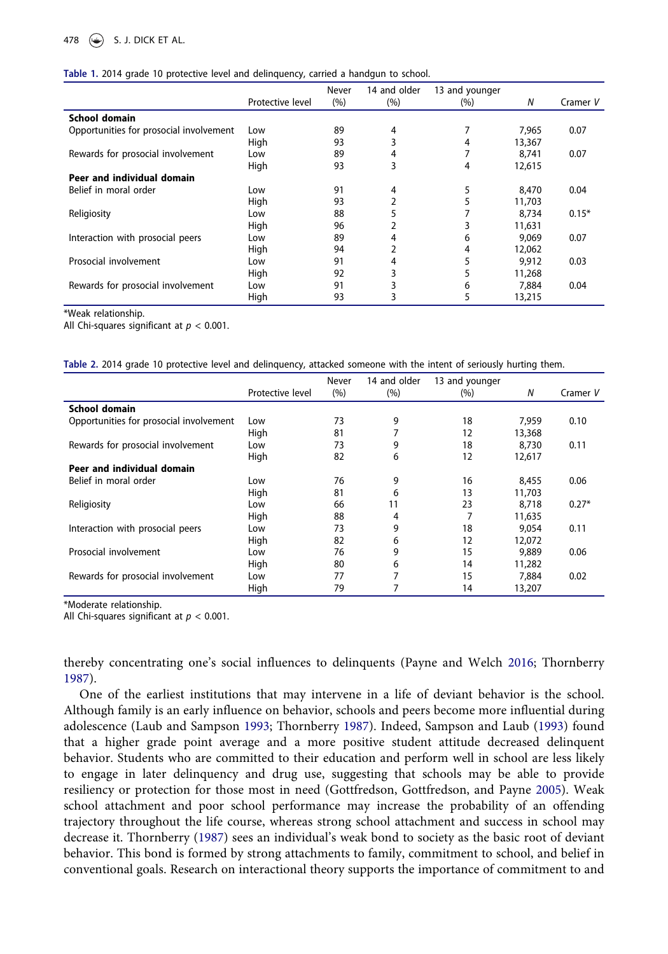478  $\left(\bigstar\right)$  S. J. DICK ET AL.

#### <span id="page-3-0"></span>Table 1. 2014 grade 10 protective level and delinquency, carried a handgun to school.

|                                         |                  | Never | 14 and older | 13 and younger |        |          |
|-----------------------------------------|------------------|-------|--------------|----------------|--------|----------|
|                                         | Protective level | (%)   | (%)          | (% )           | N      | Cramer V |
| <b>School domain</b>                    |                  |       |              |                |        |          |
| Opportunities for prosocial involvement | Low              | 89    | 4            | 7              | 7,965  | 0.07     |
|                                         | High             | 93    | 3            | 4              | 13,367 |          |
| Rewards for prosocial involvement       | Low              | 89    | 4            | 7              | 8.741  | 0.07     |
|                                         | High             | 93    | 3            | 4              | 12,615 |          |
| Peer and individual domain              |                  |       |              |                |        |          |
| Belief in moral order                   | Low              | 91    | 4            | 5              | 8,470  | 0.04     |
|                                         | High             | 93    | 2            | 5              | 11,703 |          |
| Religiosity                             | Low              | 88    | 5            | 7              | 8,734  | $0.15*$  |
|                                         | High             | 96    |              | 3              | 11,631 |          |
| Interaction with prosocial peers        | Low              | 89    | 4            | 6              | 9,069  | 0.07     |
|                                         | High             | 94    | 2            | 4              | 12,062 |          |
| Prosocial involvement                   | Low              | 91    | 4            | 5              | 9,912  | 0.03     |
|                                         | High             | 92    | 3            | 5              | 11,268 |          |
| Rewards for prosocial involvement       | Low              | 91    | 3            | 6              | 7.884  | 0.04     |
|                                         | High             | 93    | 3            | 5              | 13,215 |          |

\*Weak relationship.

All Chi-squares significant at  $p < 0.001$ .

<span id="page-3-1"></span>Table 2. 2014 grade 10 protective level and delinquency, attacked someone with the intent of seriously hurting them.

|                                         |                  | Never | 14 and older   | 13 and younger |        |          |
|-----------------------------------------|------------------|-------|----------------|----------------|--------|----------|
|                                         | Protective level | (%)   | (%)            | (%)            | N      | Cramer V |
| <b>School domain</b>                    |                  |       |                |                |        |          |
| Opportunities for prosocial involvement | Low              | 73    | 9              | 18             | 7,959  | 0.10     |
|                                         | High             | 81    | 7              | 12             | 13,368 |          |
| Rewards for prosocial involvement       | Low              | 73    | 9              | 18             | 8,730  | 0.11     |
|                                         | High             | 82    | 6              | 12             | 12,617 |          |
| Peer and individual domain              |                  |       |                |                |        |          |
| Belief in moral order                   | Low              | 76    | 9              | 16             | 8,455  | 0.06     |
|                                         | High             | 81    | 6              | 13             | 11,703 |          |
| Religiosity                             | Low              | 66    | 11             | 23             | 8,718  | $0.27*$  |
|                                         | High             | 88    | 4              | 7              | 11,635 |          |
| Interaction with prosocial peers        | Low              | 73    | 9              | 18             | 9.054  | 0.11     |
|                                         | High             | 82    | 6              | 12             | 12,072 |          |
| Prosocial involvement                   | Low              | 76    | 9              | 15             | 9,889  | 0.06     |
|                                         | High             | 80    | 6              | 14             | 11,282 |          |
| Rewards for prosocial involvement       | Low              | 77    | $\overline{7}$ | 15             | 7,884  | 0.02     |
|                                         | High             | 79    |                | 14             | 13,207 |          |

\*Moderate relationship.

All Chi-squares significant at  $p < 0.001$ .

<span id="page-3-4"></span>thereby concentrating one's social influences to delinquents (Payne and Welch [2016;](#page-8-17) Thornberry [1987](#page-8-18)).

<span id="page-3-5"></span><span id="page-3-3"></span><span id="page-3-2"></span>One of the earliest institutions that may intervene in a life of deviant behavior is the school. Although family is an early influence on behavior, schools and peers become more influential during adolescence (Laub and Sampson [1993](#page-7-13); Thornberry [1987](#page-8-18)). Indeed, Sampson and Laub ([1993](#page-8-3)) found that a higher grade point average and a more positive student attitude decreased delinquent behavior. Students who are committed to their education and perform well in school are less likely to engage in later delinquency and drug use, suggesting that schools may be able to provide resiliency or protection for those most in need (Gottfredson, Gottfredson, and Payne [2005](#page-7-14)). Weak school attachment and poor school performance may increase the probability of an offending trajectory throughout the life course, whereas strong school attachment and success in school may decrease it. Thornberry ([1987\)](#page-8-18) sees an individual's weak bond to society as the basic root of deviant behavior. This bond is formed by strong attachments to family, commitment to school, and belief in conventional goals. Research on interactional theory supports the importance of commitment to and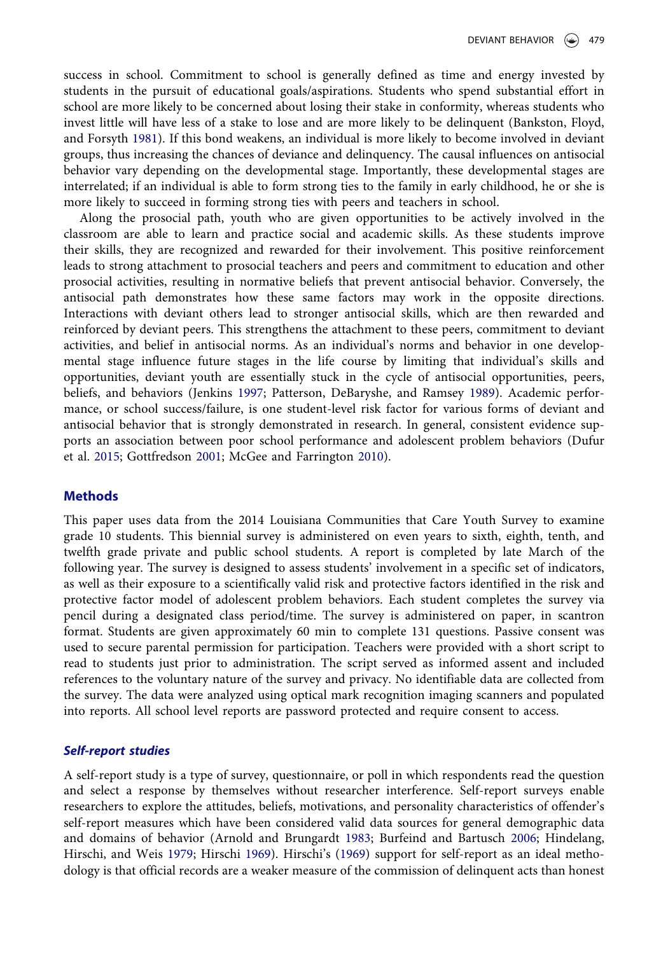<span id="page-4-1"></span>success in school. Commitment to school is generally defined as time and energy invested by students in the pursuit of educational goals/aspirations. Students who spend substantial effort in school are more likely to be concerned about losing their stake in conformity, whereas students who invest little will have less of a stake to lose and are more likely to be delinquent (Bankston, Floyd, and Forsyth [1981\)](#page-7-15). If this bond weakens, an individual is more likely to become involved in deviant groups, thus increasing the chances of deviance and delinquency. The causal influences on antisocial behavior vary depending on the developmental stage. Importantly, these developmental stages are interrelated; if an individual is able to form strong ties to the family in early childhood, he or she is more likely to succeed in forming strong ties with peers and teachers in school.

Along the prosocial path, youth who are given opportunities to be actively involved in the classroom are able to learn and practice social and academic skills. As these students improve their skills, they are recognized and rewarded for their involvement. This positive reinforcement leads to strong attachment to prosocial teachers and peers and commitment to education and other prosocial activities, resulting in normative beliefs that prevent antisocial behavior. Conversely, the antisocial path demonstrates how these same factors may work in the opposite directions. Interactions with deviant others lead to stronger antisocial skills, which are then rewarded and reinforced by deviant peers. This strengthens the attachment to these peers, commitment to deviant activities, and belief in antisocial norms. As an individual's norms and behavior in one developmental stage influence future stages in the life course by limiting that individual's skills and opportunities, deviant youth are essentially stuck in the cycle of antisocial opportunities, peers, beliefs, and behaviors (Jenkins [1997;](#page-7-16) Patterson, DeBaryshe, and Ramsey [1989](#page-8-19)). Academic performance, or school success/failure, is one student-level risk factor for various forms of deviant and antisocial behavior that is strongly demonstrated in research. In general, consistent evidence supports an association between poor school performance and adolescent problem behaviors (Dufur et al. [2015](#page-7-17); Gottfredson [2001](#page-7-18); McGee and Farrington [2010](#page-8-12)).

# <span id="page-4-4"></span><span id="page-4-2"></span>Methods

This paper uses data from the 2014 Louisiana Communities that Care Youth Survey to examine grade 10 students. This biennial survey is administered on even years to sixth, eighth, tenth, and twelfth grade private and public school students. A report is completed by late March of the following year. The survey is designed to assess students' involvement in a specific set of indicators, as well as their exposure to a scientifically valid risk and protective factors identified in the risk and protective factor model of adolescent problem behaviors. Each student completes the survey via pencil during a designated class period/time. The survey is administered on paper, in scantron format. Students are given approximately 60 min to complete 131 questions. Passive consent was used to secure parental permission for participation. Teachers were provided with a short script to read to students just prior to administration. The script served as informed assent and included references to the voluntary nature of the survey and privacy. No identifiable data are collected from the survey. The data were analyzed using optical mark recognition imaging scanners and populated into reports. All school level reports are password protected and require consent to access.

# Self-report studies

<span id="page-4-3"></span><span id="page-4-0"></span>A self-report study is a type of survey, questionnaire, or poll in which respondents read the question and select a response by themselves without researcher interference. Self-report surveys enable researchers to explore the attitudes, beliefs, motivations, and personality characteristics of offender's self-report measures which have been considered valid data sources for general demographic data and domains of behavior (Arnold and Brungardt [1983;](#page-7-19) Burfeind and Bartusch [2006;](#page-7-20) Hindelang, Hirschi, and Weis [1979;](#page-7-21) Hirschi [1969](#page-7-22)). Hirschi's ([1969\)](#page-7-22) support for self-report as an ideal methodology is that official records are a weaker measure of the commission of delinquent acts than honest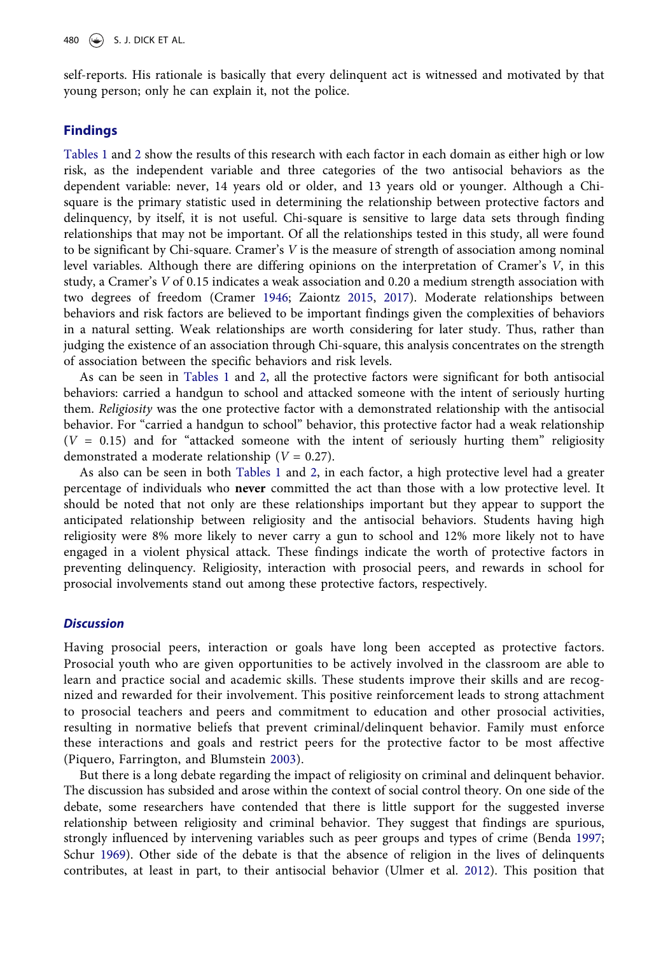self-reports. His rationale is basically that every delinquent act is witnessed and motivated by that young person; only he can explain it, not the police.

# **Findings**

[Tables 1](#page-3-0) and [2](#page-3-1) show the results of this research with each factor in each domain as either high or low risk, as the independent variable and three categories of the two antisocial behaviors as the dependent variable: never, 14 years old or older, and 13 years old or younger. Although a Chisquare is the primary statistic used in determining the relationship between protective factors and delinquency, by itself, it is not useful. Chi-square is sensitive to large data sets through finding relationships that may not be important. Of all the relationships tested in this study, all were found to be significant by Chi-square. Cramer's  $V$  is the measure of strength of association among nominal level variables. Although there are differing opinions on the interpretation of Cramer's V, in this study, a Cramer's V of 0.15 indicates a weak association and 0.20 a medium strength association with two degrees of freedom (Cramer [1946;](#page-7-23) Zaiontz [2015,](#page-8-20) [2017\)](#page-8-21). Moderate relationships between behaviors and risk factors are believed to be important findings given the complexities of behaviors in a natural setting. Weak relationships are worth considering for later study. Thus, rather than judging the existence of an association through Chi-square, this analysis concentrates on the strength of association between the specific behaviors and risk levels.

<span id="page-5-1"></span>As can be seen in [Tables 1](#page-3-0) and [2,](#page-3-1) all the protective factors were significant for both antisocial behaviors: carried a handgun to school and attacked someone with the intent of seriously hurting them. Religiosity was the one protective factor with a demonstrated relationship with the antisocial behavior. For "carried a handgun to school" behavior, this protective factor had a weak relationship  $(V = 0.15)$  and for "attacked someone with the intent of seriously hurting them" religiosity demonstrated a moderate relationship ( $V = 0.27$ ).

As also can be seen in both [Tables 1](#page-3-0) and [2](#page-3-1), in each factor, a high protective level had a greater percentage of individuals who never committed the act than those with a low protective level. It should be noted that not only are these relationships important but they appear to support the anticipated relationship between religiosity and the antisocial behaviors. Students having high religiosity were 8% more likely to never carry a gun to school and 12% more likely not to have engaged in a violent physical attack. These findings indicate the worth of protective factors in preventing delinquency. Religiosity, interaction with prosocial peers, and rewards in school for prosocial involvements stand out among these protective factors, respectively.

# **Discussion**

Having prosocial peers, interaction or goals have long been accepted as protective factors. Prosocial youth who are given opportunities to be actively involved in the classroom are able to learn and practice social and academic skills. These students improve their skills and are recognized and rewarded for their involvement. This positive reinforcement leads to strong attachment to prosocial teachers and peers and commitment to education and other prosocial activities, resulting in normative beliefs that prevent criminal/delinquent behavior. Family must enforce these interactions and goals and restrict peers for the protective factor to be most affective (Piquero, Farrington, and Blumstein [2003\)](#page-8-9).

<span id="page-5-3"></span><span id="page-5-2"></span><span id="page-5-0"></span>But there is a long debate regarding the impact of religiosity on criminal and delinquent behavior. The discussion has subsided and arose within the context of social control theory. On one side of the debate, some researchers have contended that there is little support for the suggested inverse relationship between religiosity and criminal behavior. They suggest that findings are spurious, strongly influenced by intervening variables such as peer groups and types of crime (Benda [1997;](#page-7-24) Schur [1969\)](#page-8-22). Other side of the debate is that the absence of religion in the lives of delinquents contributes, at least in part, to their antisocial behavior (Ulmer et al. [2012\)](#page-8-23). This position that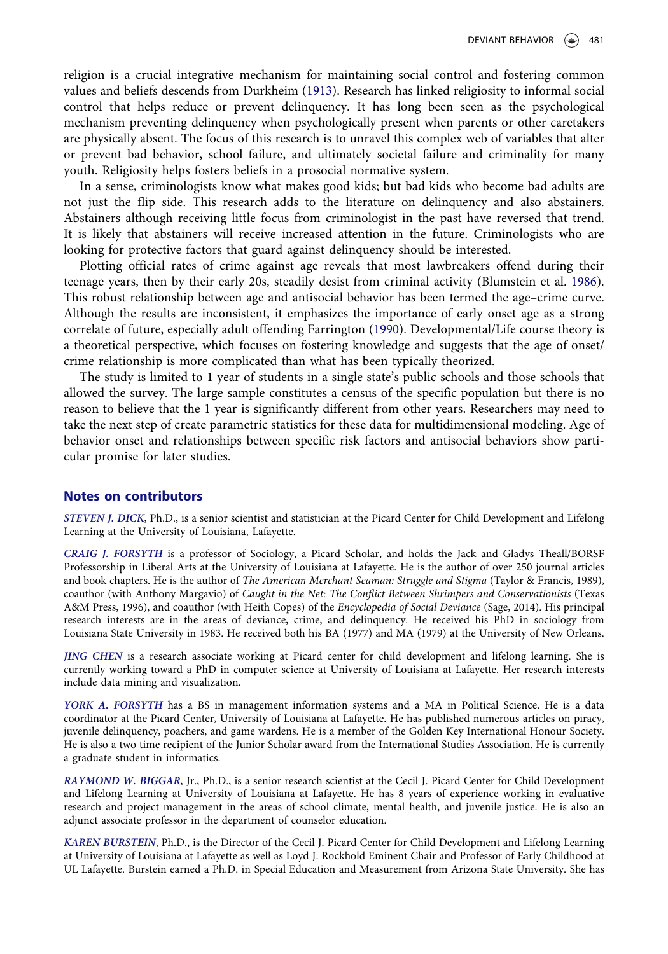<span id="page-6-0"></span>religion is a crucial integrative mechanism for maintaining social control and fostering common values and beliefs descends from Durkheim [\(1913\)](#page-7-25). Research has linked religiosity to informal social control that helps reduce or prevent delinquency. It has long been seen as the psychological mechanism preventing delinquency when psychologically present when parents or other caretakers are physically absent. The focus of this research is to unravel this complex web of variables that alter or prevent bad behavior, school failure, and ultimately societal failure and criminality for many youth. Religiosity helps fosters beliefs in a prosocial normative system.

In a sense, criminologists know what makes good kids; but bad kids who become bad adults are not just the flip side. This research adds to the literature on delinquency and also abstainers. Abstainers although receiving little focus from criminologist in the past have reversed that trend. It is likely that abstainers will receive increased attention in the future. Criminologists who are looking for protective factors that guard against delinquency should be interested.

Plotting official rates of crime against age reveals that most lawbreakers offend during their teenage years, then by their early 20s, steadily desist from criminal activity (Blumstein et al. [1986](#page-7-6)). This robust relationship between age and antisocial behavior has been termed the age–crime curve. Although the results are inconsistent, it emphasizes the importance of early onset age as a strong correlate of future, especially adult offending Farrington ([1990](#page-7-1)). Developmental/Life course theory is a theoretical perspective, which focuses on fostering knowledge and suggests that the age of onset/ crime relationship is more complicated than what has been typically theorized.

The study is limited to 1 year of students in a single state's public schools and those schools that allowed the survey. The large sample constitutes a census of the specific population but there is no reason to believe that the 1 year is significantly different from other years. Researchers may need to take the next step of create parametric statistics for these data for multidimensional modeling. Age of behavior onset and relationships between specific risk factors and antisocial behaviors show particular promise for later studies.

## Notes on contributors

STEVEN J. DICK, Ph.D., is a senior scientist and statistician at the Picard Center for Child Development and Lifelong Learning at the University of Louisiana, Lafayette.

CRAIG J. FORSYTH is a professor of Sociology, a Picard Scholar, and holds the Jack and Gladys Theall/BORSF Professorship in Liberal Arts at the University of Louisiana at Lafayette. He is the author of over 250 journal articles and book chapters. He is the author of The American Merchant Seaman: Struggle and Stigma (Taylor & Francis, 1989), coauthor (with Anthony Margavio) of Caught in the Net: The Conflict Between Shrimpers and Conservationists (Texas A&M Press, 1996), and coauthor (with Heith Copes) of the Encyclopedia of Social Deviance (Sage, 2014). His principal research interests are in the areas of deviance, crime, and delinquency. He received his PhD in sociology from Louisiana State University in 1983. He received both his BA (1977) and MA (1979) at the University of New Orleans.

JING CHEN is a research associate working at Picard center for child development and lifelong learning. She is currently working toward a PhD in computer science at University of Louisiana at Lafayette. Her research interests include data mining and visualization.

YORK A. FORSYTH has a BS in management information systems and a MA in Political Science. He is a data coordinator at the Picard Center, University of Louisiana at Lafayette. He has published numerous articles on piracy, juvenile delinquency, poachers, and game wardens. He is a member of the Golden Key International Honour Society. He is also a two time recipient of the Junior Scholar award from the International Studies Association. He is currently a graduate student in informatics.

RAYMOND W. BIGGAR, Jr., Ph.D., is a senior research scientist at the Cecil J. Picard Center for Child Development and Lifelong Learning at University of Louisiana at Lafayette. He has 8 years of experience working in evaluative research and project management in the areas of school climate, mental health, and juvenile justice. He is also an adjunct associate professor in the department of counselor education.

KAREN BURSTEIN, Ph.D., is the Director of the Cecil J. Picard Center for Child Development and Lifelong Learning at University of Louisiana at Lafayette as well as Loyd J. Rockhold Eminent Chair and Professor of Early Childhood at UL Lafayette. Burstein earned a Ph.D. in Special Education and Measurement from Arizona State University. She has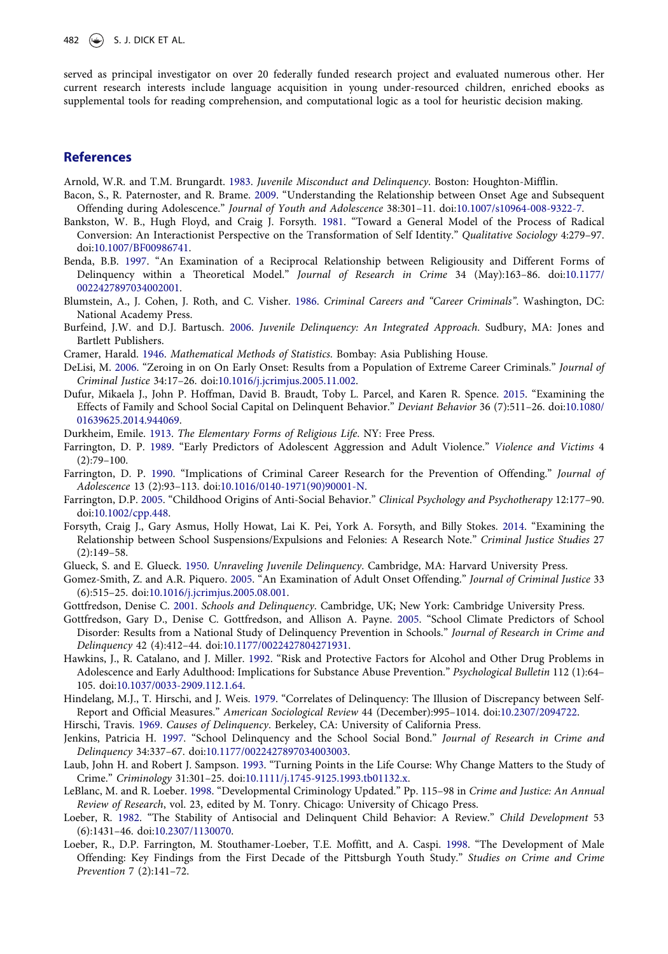482  $\left(\bigstar\right)$  S. J. DICK ET AL.

served as principal investigator on over 20 federally funded research project and evaluated numerous other. Her current research interests include language acquisition in young under-resourced children, enriched ebooks as supplemental tools for reading comprehension, and computational logic as a tool for heuristic decision making.

# **References**

<span id="page-7-19"></span>Arnold, W.R. and T.M. Brungardt. [1983](#page-4-0). Juvenile Misconduct and Delinquency. Boston: Houghton-Mifflin.

- <span id="page-7-10"></span>Bacon, S., R. Paternoster, and R. Brame. [2009](#page-2-0). "Understanding the Relationship between Onset Age and Subsequent Offending during Adolescence." Journal of Youth and Adolescence 38:301–11. doi:[10.1007/s10964-008-9322-7.](http://dx.doi.org/10.1007/s10964-008-9322-7)
- <span id="page-7-15"></span>Bankston, W. B., Hugh Floyd, and Craig J. Forsyth. [1981](#page-4-1). "Toward a General Model of the Process of Radical Conversion: An Interactionist Perspective on the Transformation of Self Identity." Qualitative Sociology 4:279–97. doi[:10.1007/BF00986741](http://dx.doi.org/10.1007/BF00986741).
- <span id="page-7-24"></span>Benda, B.B. [1997.](#page-5-0) "An Examination of a Reciprocal Relationship between Religiousity and Different Forms of Delinquency within a Theoretical Model." Journal of Research in Crime 34 (May):163–86. doi:[10.1177/](http://dx.doi.org/10.1177/0022427897034002001) [0022427897034002001](http://dx.doi.org/10.1177/0022427897034002001).
- <span id="page-7-6"></span>Blumstein, A., J. Cohen, J. Roth, and C. Visher. [1986](#page-2-1). Criminal Careers and "Career Criminals". Washington, DC: National Academy Press.
- <span id="page-7-20"></span>Burfeind, J.W. and D.J. Bartusch. [2006.](#page-4-0) Juvenile Delinquency: An Integrated Approach. Sudbury, MA: Jones and Bartlett Publishers.
- <span id="page-7-23"></span><span id="page-7-4"></span>Cramer, Harald. [1946.](#page-5-1) Mathematical Methods of Statistics. Bombay: Asia Publishing House.
- DeLisi, M. [2006](#page-1-0). "Zeroing in on On Early Onset: Results from a Population of Extreme Career Criminals." Journal of Criminal Justice 34:17–26. doi:[10.1016/j.jcrimjus.2005.11.002](http://dx.doi.org/10.1016/j.jcrimjus.2005.11.002).
- <span id="page-7-17"></span>Dufur, Mikaela J., John P. Hoffman, David B. Braudt, Toby L. Parcel, and Karen R. Spence. [2015](#page-4-2). "Examining the Effects of Family and School Social Capital on Delinquent Behavior." Deviant Behavior 36 (7):511–26. doi:[10.1080/](http://dx.doi.org/10.1080/01639625.2014.944069) [01639625.2014.944069](http://dx.doi.org/10.1080/01639625.2014.944069).
- <span id="page-7-25"></span>Durkheim, Emile. [1913](#page-6-0). The Elementary Forms of Religious Life. NY: Free Press.
- <span id="page-7-0"></span>Farrington, D. P. [1989.](#page-1-1) "Early Predictors of Adolescent Aggression and Adult Violence." Violence and Victims 4  $(2):79-100.$
- <span id="page-7-1"></span>Farrington, D. P. [1990](#page-1-1). "Implications of Criminal Career Research for the Prevention of Offending." Journal of Adolescence 13 (2):93–113. doi[:10.1016/0140-1971\(90\)90001-N](http://dx.doi.org/10.1016/0140-1971(90)90001-N).
- <span id="page-7-2"></span>Farrington, D.P. [2005.](#page-1-1) "Childhood Origins of Anti-Social Behavior." Clinical Psychology and Psychotherapy 12:177–90. doi[:10.1002/cpp.448.](http://dx.doi.org/10.1002/cpp.448)
- <span id="page-7-5"></span>Forsyth, Craig J., Gary Asmus, Holly Howat, Lai K. Pei, York A. Forsyth, and Billy Stokes. [2014.](#page-2-2) "Examining the Relationship between School Suspensions/Expulsions and Felonies: A Research Note." Criminal Justice Studies 27 (2):149–58.
- <span id="page-7-7"></span>Glueck, S. and E. Glueck. [1950](#page-2-3). Unraveling Juvenile Delinquency. Cambridge, MA: Harvard University Press.
- <span id="page-7-11"></span>Gomez-Smith, Z. and A.R. Piquero. [2005](#page-2-0). "An Examination of Adult Onset Offending." Journal of Criminal Justice 33 (6):515–25. doi[:10.1016/j.jcrimjus.2005.08.001](http://dx.doi.org/10.1016/j.jcrimjus.2005.08.001).
- <span id="page-7-18"></span>Gottfredson, Denise C. [2001](#page-4-2). Schools and Delinquency. Cambridge, UK; New York: Cambridge University Press.
- <span id="page-7-14"></span>Gottfredson, Gary D., Denise C. Gottfredson, and Allison A. Payne. [2005](#page-3-2). "School Climate Predictors of School Disorder: Results from a National Study of Delinquency Prevention in Schools." Journal of Research in Crime and Delinquency 42 (4):412–44. doi[:10.1177/0022427804271931.](http://dx.doi.org/10.1177/0022427804271931)
- <span id="page-7-12"></span>Hawkins, J., R. Catalano, and J. Miller. [1992.](#page-2-4) "Risk and Protective Factors for Alcohol and Other Drug Problems in Adolescence and Early Adulthood: Implications for Substance Abuse Prevention." Psychological Bulletin 112 (1):64– 105. doi[:10.1037/0033-2909.112.1.64](http://dx.doi.org/10.1037/0033-2909.112.1.64).
- <span id="page-7-21"></span>Hindelang, M.J., T. Hirschi, and J. Weis. [1979.](#page-4-3) "Correlates of Delinquency: The Illusion of Discrepancy between Self-Report and Official Measures." American Sociological Review 44 (December):995–1014. doi:[10.2307/2094722](http://dx.doi.org/10.2307/2094722).
- <span id="page-7-22"></span>Hirschi, Travis. [1969.](#page-4-3) Causes of Delinquency. Berkeley, CA: University of California Press.
- <span id="page-7-16"></span>Jenkins, Patricia H. [1997](#page-4-4). "School Delinquency and the School Social Bond." Journal of Research in Crime and Delinquency 34:337–67. doi[:10.1177/0022427897034003003](http://dx.doi.org/10.1177/0022427897034003003).
- <span id="page-7-13"></span>Laub, John H. and Robert J. Sampson. [1993](#page-3-3). "Turning Points in the Life Course: Why Change Matters to the Study of Crime." Criminology 31:301–25. doi[:10.1111/j.1745-9125.1993.tb01132.x.](http://dx.doi.org/10.1111/j.1745-9125.1993.tb01132.x)
- <span id="page-7-8"></span>LeBlanc, M. and R. Loeber. [1998.](#page-2-3) "Developmental Criminology Updated." Pp. 115–98 in Crime and Justice: An Annual Review of Research, vol. 23, edited by M. Tonry. Chicago: University of Chicago Press.
- <span id="page-7-9"></span>Loeber, R. [1982](#page-2-3). "The Stability of Antisocial and Delinquent Child Behavior: A Review." Child Development 53 (6):1431–46. doi:[10.2307/1130070](http://dx.doi.org/10.2307/1130070).
- <span id="page-7-3"></span>Loeber, R., D.P. Farrington, M. Stouthamer-Loeber, T.E. Moffitt, and A. Caspi. [1998.](#page-1-2) "The Development of Male Offending: Key Findings from the First Decade of the Pittsburgh Youth Study." Studies on Crime and Crime Prevention 7 (2):141–72.